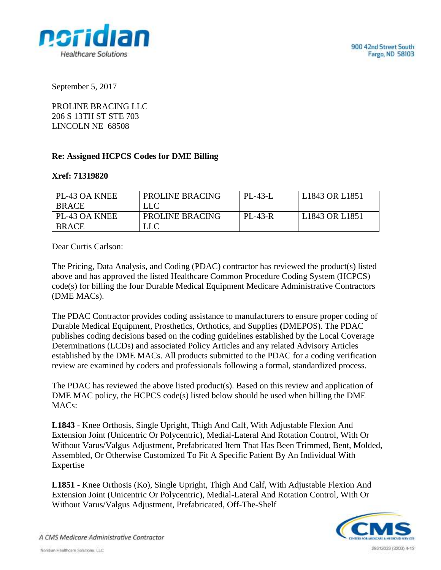

September 5, 2017

PROLINE BRACING LLC 206 S 13TH ST STE 703 LINCOLN NE 68508

## **Re: Assigned HCPCS Codes for DME Billing**

## **Xref: 71319820**

| <b>PL-43 OA KNEE</b> | PROLINE BRACING | PL-43-L        | L1843 OR L1851 |
|----------------------|-----------------|----------------|----------------|
| <b>BRACE</b>         | LLC             |                |                |
| PL-43 OA KNEE        | PROLINE BRACING | <b>PL-43-R</b> | L1843 OR L1851 |
| <b>BRACE</b>         | LLC             |                |                |

Dear Curtis Carlson:

The Pricing, Data Analysis, and Coding (PDAC) contractor has reviewed the product(s) listed above and has approved the listed Healthcare Common Procedure Coding System (HCPCS) code(s) for billing the four Durable Medical Equipment Medicare Administrative Contractors (DME MACs).

The PDAC Contractor provides coding assistance to manufacturers to ensure proper coding of Durable Medical Equipment, Prosthetics, Orthotics, and Supplies **(**DMEPOS). The PDAC publishes coding decisions based on the coding guidelines established by the Local Coverage Determinations (LCDs) and associated Policy Articles and any related Advisory Articles established by the DME MACs. All products submitted to the PDAC for a coding verification review are examined by coders and professionals following a formal, standardized process.

The PDAC has reviewed the above listed product(s). Based on this review and application of DME MAC policy, the HCPCS code(s) listed below should be used when billing the DME  $MACs$ :

**L1843** - Knee Orthosis, Single Upright, Thigh And Calf, With Adjustable Flexion And Extension Joint (Unicentric Or Polycentric), Medial-Lateral And Rotation Control, With Or Without Varus/Valgus Adjustment, Prefabricated Item That Has Been Trimmed, Bent, Molded, Assembled, Or Otherwise Customized To Fit A Specific Patient By An Individual With Expertise

**L1851** - Knee Orthosis (Ko), Single Upright, Thigh And Calf, With Adjustable Flexion And Extension Joint (Unicentric Or Polycentric), Medial-Lateral And Rotation Control, With Or Without Varus/Valgus Adjustment, Prefabricated, Off-The-Shelf



A CMS Medicare Administrative Contractor